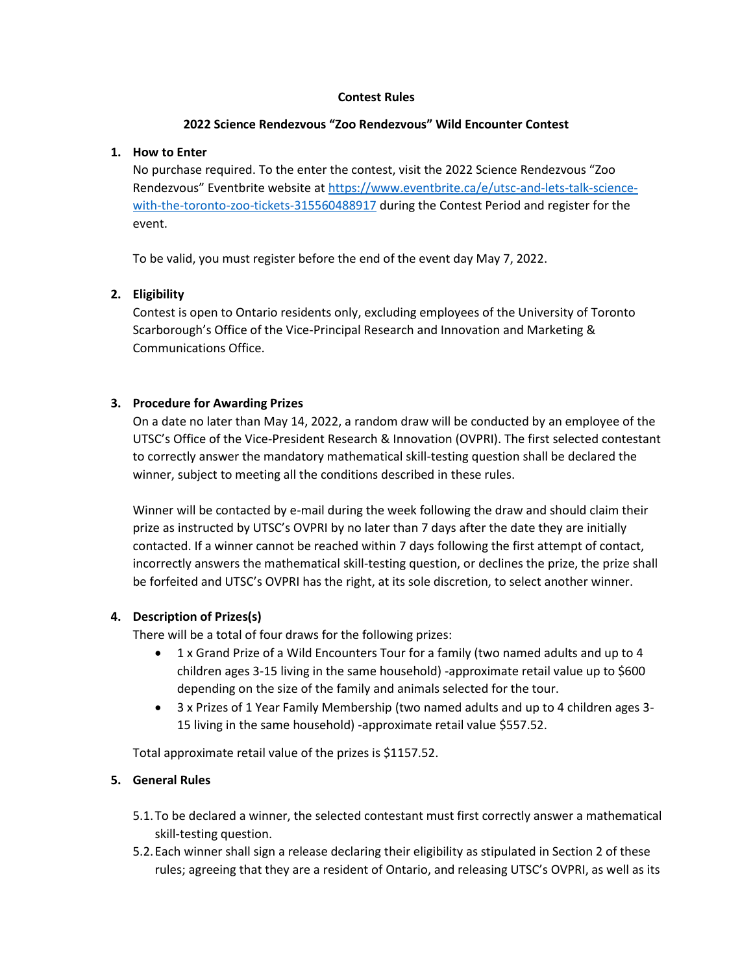#### **Contest Rules**

#### **2022 Science Rendezvous "Zoo Rendezvous" Wild Encounter Contest**

### **1. How to Enter**

No purchase required. To the enter the contest, visit the 2022 Science Rendezvous "Zoo Rendezvous" Eventbrite website at [https://www.eventbrite.ca/e/utsc-and-lets-talk-science](https://www.eventbrite.ca/e/utsc-and-lets-talk-science-with-the-toronto-zoo-tickets-315560488917)[with-the-toronto-zoo-tickets-315560488917](https://www.eventbrite.ca/e/utsc-and-lets-talk-science-with-the-toronto-zoo-tickets-315560488917) during the Contest Period and register for the event.

To be valid, you must register before the end of the event day May 7, 2022.

# **2. Eligibility**

Contest is open to Ontario residents only, excluding employees of the University of Toronto Scarborough's Office of the Vice-Principal Research and Innovation and Marketing & Communications Office.

# **3. Procedure for Awarding Prizes**

On a date no later than May 14, 2022, a random draw will be conducted by an employee of the UTSC's Office of the Vice-President Research & Innovation (OVPRI). The first selected contestant to correctly answer the mandatory mathematical skill-testing question shall be declared the winner, subject to meeting all the conditions described in these rules.

Winner will be contacted by e-mail during the week following the draw and should claim their prize as instructed by UTSC's OVPRI by no later than 7 days after the date they are initially contacted. If a winner cannot be reached within 7 days following the first attempt of contact, incorrectly answers the mathematical skill-testing question, or declines the prize, the prize shall be forfeited and UTSC's OVPRI has the right, at its sole discretion, to select another winner.

# **4. Description of Prizes(s)**

There will be a total of four draws for the following prizes:

- 1 x Grand Prize of a Wild Encounters Tour for a family (two named adults and up to 4 children ages 3-15 living in the same household) -approximate retail value up to \$600 depending on the size of the family and animals selected for the tour.
- 3 x Prizes of 1 Year Family Membership (two named adults and up to 4 children ages 3- 15 living in the same household) -approximate retail value \$557.52.

Total approximate retail value of the prizes is \$1157.52.

#### **5. General Rules**

- 5.1.To be declared a winner, the selected contestant must first correctly answer a mathematical skill-testing question.
- 5.2.Each winner shall sign a release declaring their eligibility as stipulated in Section 2 of these rules; agreeing that they are a resident of Ontario, and releasing UTSC's OVPRI, as well as its